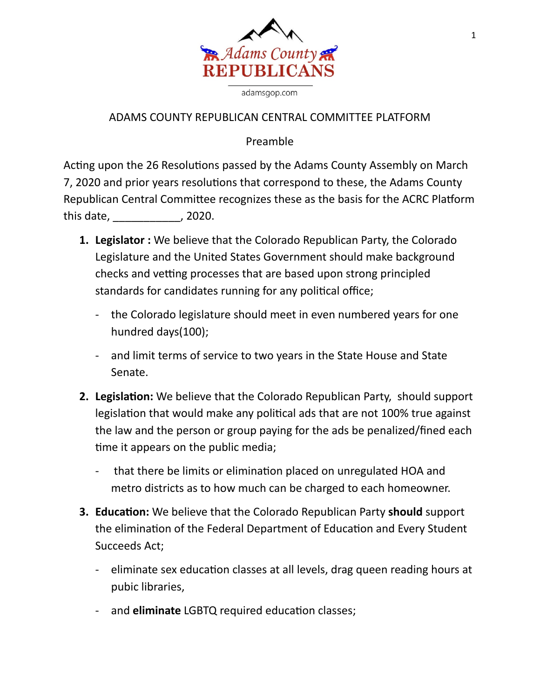

adamsgop.com

## ADAMS COUNTY REPUBLICAN CENTRAL COMMITTEE PLATFORM

## Preamble

Acting upon the 26 Resolutions passed by the Adams County Assembly on March 7, 2020 and prior years resolutions that correspond to these, the Adams County Republican Central Committee recognizes these as the basis for the ACRC Platform this date, \_\_\_\_\_\_\_\_\_\_\_, 2020.

- **1. Legislator :** We believe that the Colorado Republican Party, the Colorado Legislature and the United States Government should make background checks and vetting processes that are based upon strong principled standards for candidates running for any political office;
	- the Colorado legislature should meet in even numbered years for one hundred days(100);
	- and limit terms of service to two years in the State House and State Senate.
- **2. Legislation:** We believe that the Colorado Republican Party, should support legislation that would make any political ads that are not 100% true against the law and the person or group paying for the ads be penalized/fined each time it appears on the public media;
	- that there be limits or elimination placed on unregulated HOA and metro districts as to how much can be charged to each homeowner.
- **3. Education:** We believe that the Colorado Republican Party should support the elimination of the Federal Department of Education and Every Student Succeeds Act;
	- eliminate sex education classes at all levels, drag queen reading hours at pubic libraries,
	- and **eliminate** LGBTQ required education classes;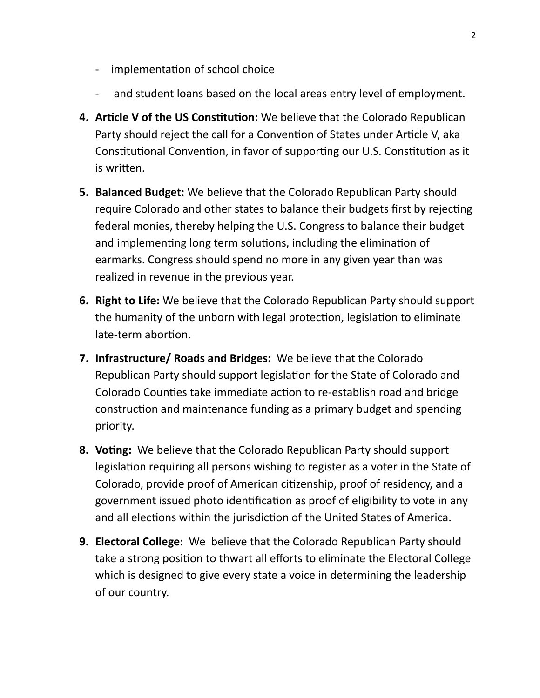- implementation of school choice
- and student loans based on the local areas entry level of employment.
- **4. Article V of the US Constitution:** We believe that the Colorado Republican Party should reject the call for a Convention of States under Article V, aka Constitutional Convention, in favor of supporting our U.S. Constitution as it is written.
- **5. Balanced Budget:** We believe that the Colorado Republican Party should require Colorado and other states to balance their budgets first by rejecting federal monies, thereby helping the U.S. Congress to balance their budget and implementing long term solutions, including the elimination of earmarks. Congress should spend no more in any given year than was realized in revenue in the previous year.
- **6. Right to Life:** We believe that the Colorado Republican Party should support the humanity of the unborn with legal protection, legislation to eliminate late-term abortion.
- **7. Infrastructure/ Roads and Bridges:** We believe that the Colorado Republican Party should support legislation for the State of Colorado and Colorado Counties take immediate action to re-establish road and bridge construction and maintenance funding as a primary budget and spending priority.
- **8. Voting:** We believe that the Colorado Republican Party should support legislation requiring all persons wishing to register as a voter in the State of Colorado, provide proof of American citizenship, proof of residency, and a government issued photo identification as proof of eligibility to vote in any and all elections within the jurisdiction of the United States of America.
- **9. Electoral College:** We believe that the Colorado Republican Party should take a strong position to thwart all efforts to eliminate the Electoral College which is designed to give every state a voice in determining the leadership of our country.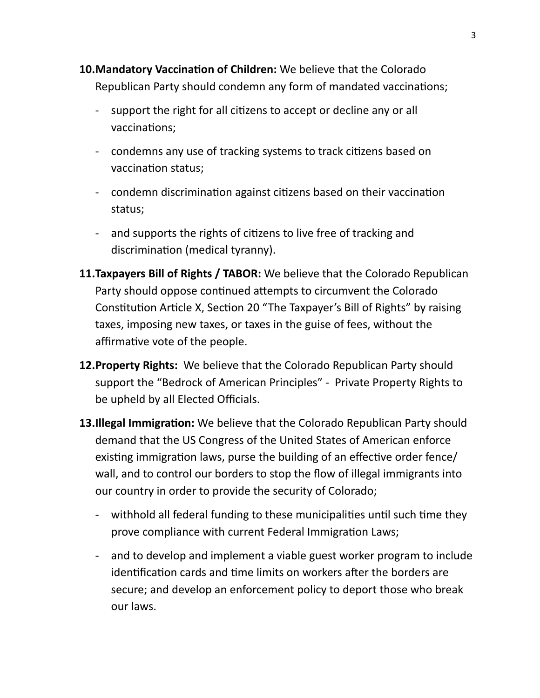- **10. Mandatory Vaccination of Children:** We believe that the Colorado Republican Party should condemn any form of mandated vaccinations;
	- support the right for all citizens to accept or decline any or all vaccinations;
	- condemns any use of tracking systems to track citizens based on vaccination status;
	- condemn discrimination against citizens based on their vaccination status;
	- and supports the rights of citizens to live free of tracking and discrimination (medical tyranny).
- **11.Taxpayers Bill of Rights / TABOR:** We believe that the Colorado Republican Party should oppose continued attempts to circumvent the Colorado Constitution Article X, Section 20 "The Taxpayer's Bill of Rights" by raising taxes, imposing new taxes, or taxes in the guise of fees, without the affirmative vote of the people.
- **12.Property Rights:** We believe that the Colorado Republican Party should support the "Bedrock of American Principles" - Private Property Rights to be upheld by all Elected Officials.
- **13.Illegal Immigration:** We believe that the Colorado Republican Party should demand that the US Congress of the United States of American enforce existing immigration laws, purse the building of an effective order fence/ wall, and to control our borders to stop the flow of illegal immigrants into our country in order to provide the security of Colorado;
	- withhold all federal funding to these municipalities until such time they prove compliance with current Federal Immigration Laws;
	- and to develop and implement a viable guest worker program to include identification cards and time limits on workers after the borders are secure; and develop an enforcement policy to deport those who break our laws.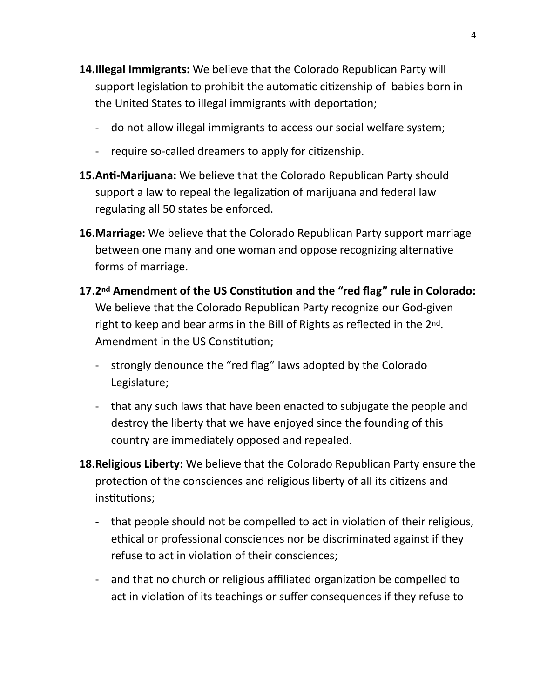- **14.Illegal Immigrants:** We believe that the Colorado Republican Party will support legislation to prohibit the automatic citizenship of babies born in the United States to illegal immigrants with deportation;
	- do not allow illegal immigrants to access our social welfare system;
	- require so-called dreamers to apply for citizenship.
- **15.Anti-Marijuana:** We believe that the Colorado Republican Party should support a law to repeal the legalization of marijuana and federal law regulating all 50 states be enforced.
- **16.Marriage:** We believe that the Colorado Republican Party support marriage between one many and one woman and oppose recognizing alternative forms of marriage.
- 17.2<sup>nd</sup> Amendment of the US Constitution and the "red flag" rule in Colorado: We believe that the Colorado Republican Party recognize our God-given right to keep and bear arms in the Bill of Rights as reflected in the 2nd. Amendment in the US Constitution;
	- strongly denounce the "red flag" laws adopted by the Colorado Legislature;
	- that any such laws that have been enacted to subjugate the people and destroy the liberty that we have enjoyed since the founding of this country are immediately opposed and repealed.
- **18.Religious Liberty:** We believe that the Colorado Republican Party ensure the protection of the consciences and religious liberty of all its citizens and institutions:
	- that people should not be compelled to act in violation of their religious, ethical or professional consciences nor be discriminated against if they refuse to act in violation of their consciences;
	- and that no church or religious affiliated organization be compelled to act in violation of its teachings or suffer consequences if they refuse to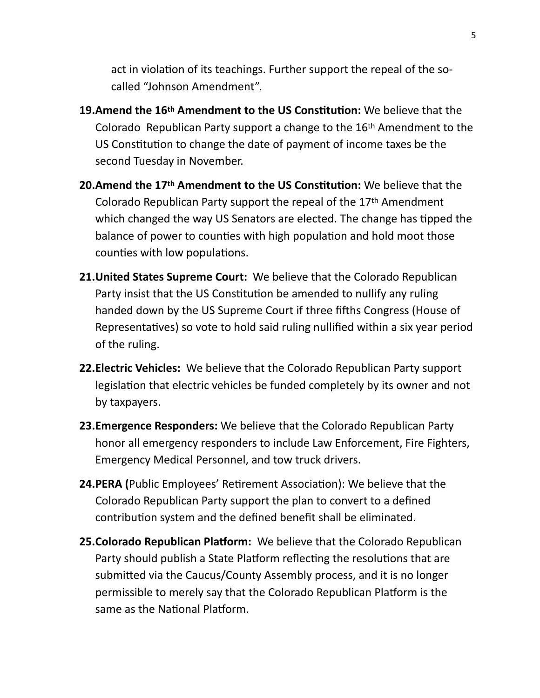act in violation of its teachings. Further support the repeal of the socalled "Johnson Amendment".

- **19.Amend the 16th Amendment to the US Constitution:** We believe that the Colorado Republican Party support a change to the 16th Amendment to the US Constitution to change the date of payment of income taxes be the second Tuesday in November.
- **20.Amend the 17<sup>th</sup> Amendment to the US Constitution:** We believe that the Colorado Republican Party support the repeal of the 17th Amendment which changed the way US Senators are elected. The change has tipped the balance of power to counties with high population and hold moot those counties with low populations.
- **21.United States Supreme Court:** We believe that the Colorado Republican Party insist that the US Constitution be amended to nullify any ruling handed down by the US Supreme Court if three fifths Congress (House of Representatives) so vote to hold said ruling nullified within a six year period of the ruling.
- **22.Electric Vehicles:** We believe that the Colorado Republican Party support legislation that electric vehicles be funded completely by its owner and not by taxpayers.
- **23.Emergence Responders:** We believe that the Colorado Republican Party honor all emergency responders to include Law Enforcement, Fire Fighters, Emergency Medical Personnel, and tow truck drivers.
- **24.PERA (**Public Employees' Retirement Association): We believe that the Colorado Republican Party support the plan to convert to a defined contribution system and the defined benefit shall be eliminated.
- **25. Colorado Republican Platform:** We believe that the Colorado Republican Party should publish a State Platform reflecting the resolutions that are submitted via the Caucus/County Assembly process, and it is no longer permissible to merely say that the Colorado Republican Platform is the same as the National Platform.